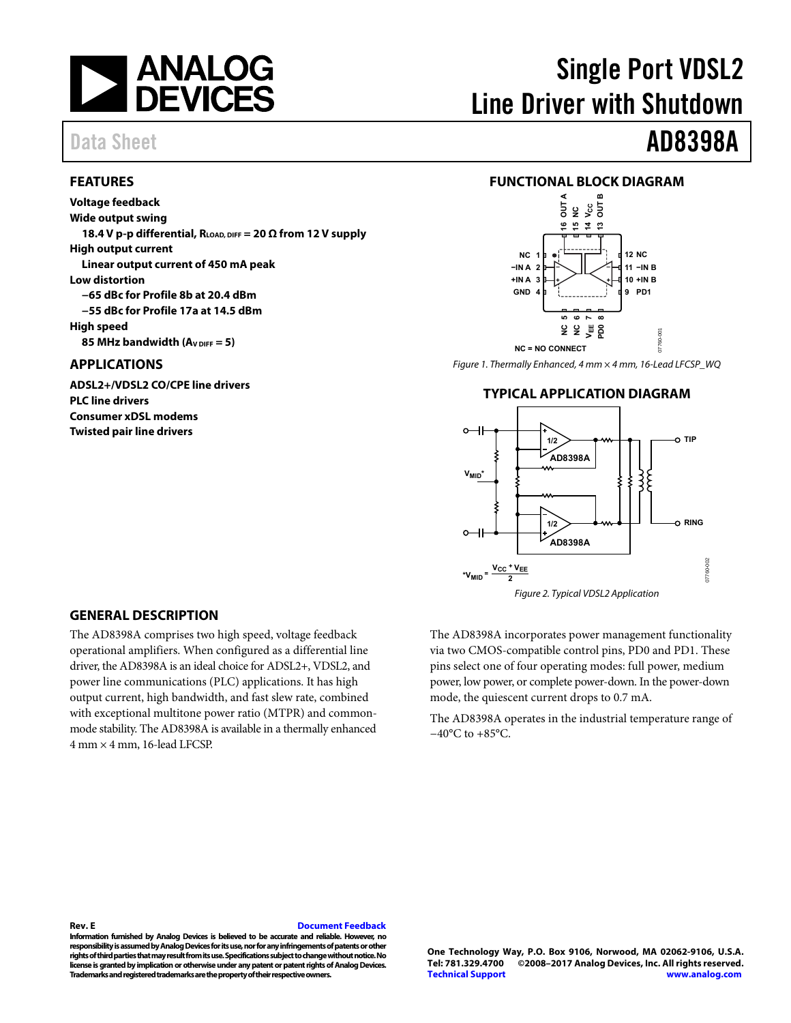

#### <span id="page-0-0"></span>**FEATURES**

**Voltage feedback Wide output swing**  18.4 V p-p differential,  $R_{LOAD, DIFF} = 20 \Omega$  from 12 V supply **High output current Linear output current of 450 mA peak Low distortion −65 dBc for Profile 8b at 20.4 dBm −55 dBc for Profile 17a at 14.5 dBm High speed 85 MHz bandwidth (A<sub>V DIFF</sub> = 5)** 

### <span id="page-0-1"></span>**APPLICATIONS**

**ADSL2+/VDSL2 CO/CPE line drivers PLC line drivers Consumer xDSL modems Twisted pair line drivers** 

# Single Port VDSL2 Line Driver with Shutdown

# Data Sheet **AD8398A**

#### <span id="page-0-2"></span>**FUNCTIONAL BLOCK DIAGRAM**



<span id="page-0-3"></span>Figure 1. Thermally Enhanced, 4 mm × 4 mm, 16-Lead LFCSP\_WQ

#### **TYPICAL APPLICATION DIAGRAM**



#### <span id="page-0-4"></span>**GENERAL DESCRIPTION**

The AD8398A comprises two high speed, voltage feedback operational amplifiers. When configured as a differential line driver, the AD8398A is an ideal choice for ADSL2+, VDSL2, and power line communications (PLC) applications. It has high output current, high bandwidth, and fast slew rate, combined with exceptional multitone power ratio (MTPR) and commonmode stability. The AD8398A is available in a thermally enhanced 4 mm × 4 mm, 16-lead LFCSP.

The AD8398A incorporates power management functionality via two CMOS-compatible control pins, PD0 and PD1. These pins select one of four operating modes: full power, medium power, low power, or complete power-down. In the power-down mode, the quiescent current drops to 0.7 mA.

The AD8398A operates in the industrial temperature range of −40°C to +85°C.

#### **Rev. E [Document Feedback](https://form.analog.com/Form_Pages/feedback/documentfeedback.aspx?doc=AD8398A.pdf&product=AD8398A&rev=E)**

**Information furnished by Analog Devices is believed to be accurate and reliable. However, no responsibility is assumed by Analog Devices for its use, nor for any infringements of patents or other rights of third parties that may result from its use. Specifications subject to change without notice. No license is granted by implication or otherwise under any patent or patent rights of Analog Devices. Trademarks and registered trademarks are the property of their respective owners.**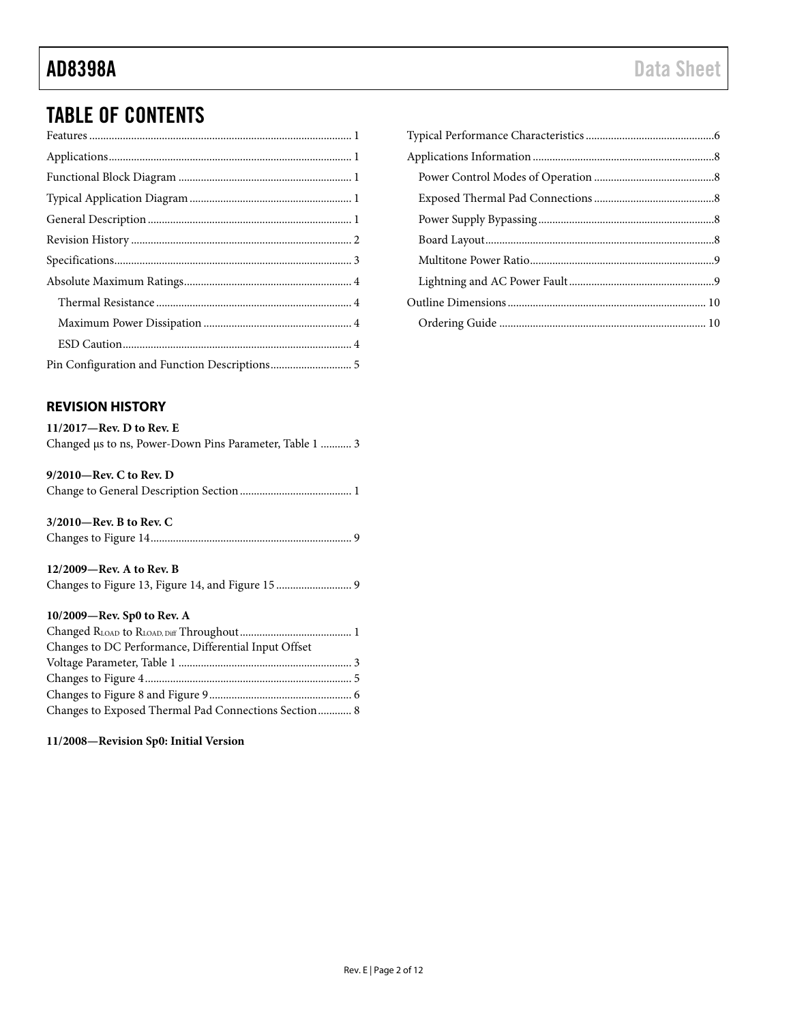## TABLE OF CONTENTS

### <span id="page-1-0"></span>**REVISION HISTORY**

| $11/2017$ —Rev. D to Rev. E                             |  |
|---------------------------------------------------------|--|
| Changed us to ns, Power-Down Pins Parameter, Table 1  3 |  |

| $9/2010$ —Rev. C to Rev. D |  |
|----------------------------|--|
|                            |  |

### **3/2010—Rev. B to Rev. C**

|--|--|--|--|

| $12/2009$ —Rev. A to Rev. B |  |
|-----------------------------|--|
|                             |  |

#### **10/2009—Rev. Sp0 to Rev. A**

| Changes to DC Performance, Differential Input Offset |  |
|------------------------------------------------------|--|
|                                                      |  |
|                                                      |  |
|                                                      |  |
| Changes to Exposed Thermal Pad Connections Section 8 |  |

<span id="page-1-1"></span>**11/2008—Revision Sp0: Initial Version**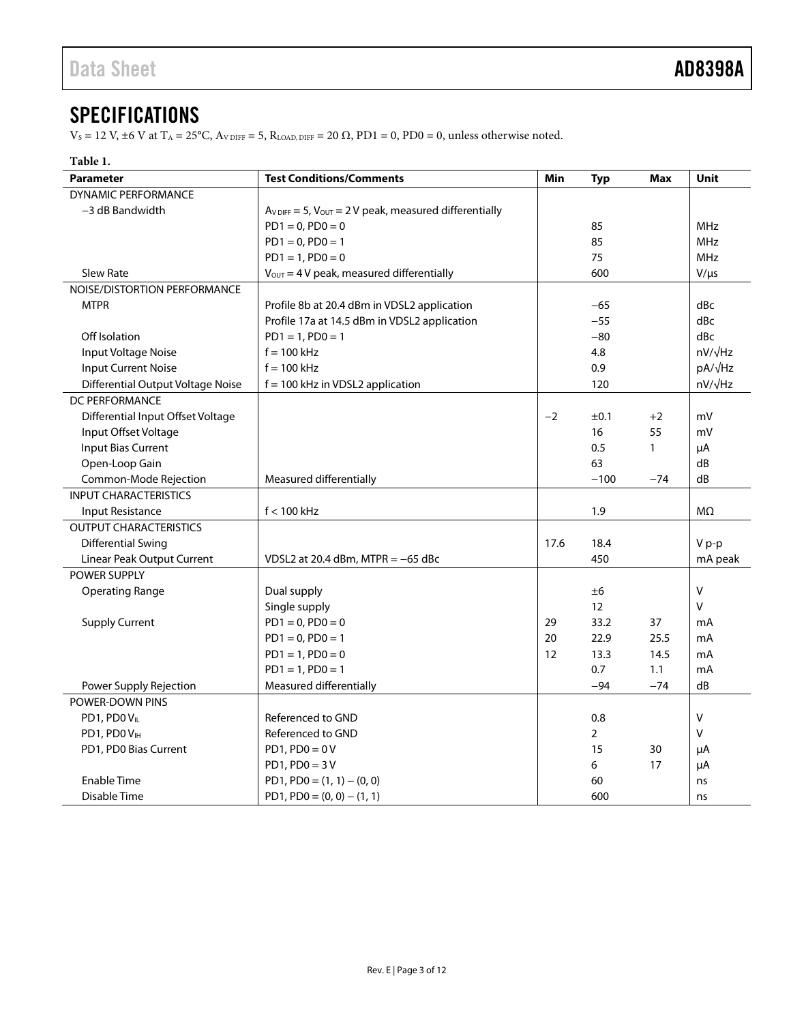### **SPECIFICATIONS**

 $V_S = 12$  V,  $\pm 6$  V at T<sub>A</sub> = 25°C,  $A_{V\, \text{DIFF}} = 5$ ,  $R_{\text{LOAD, DIFF}} = 20 \Omega$ , PD1 = 0, PD0 = 0, unless otherwise noted.

#### **Table 1.**

| <b>Parameter</b>                  | <b>Test Conditions/Comments</b>                                                | Min  | <b>Typ</b>     | <b>Max</b> | Unit         |
|-----------------------------------|--------------------------------------------------------------------------------|------|----------------|------------|--------------|
| <b>DYNAMIC PERFORMANCE</b>        |                                                                                |      |                |            |              |
| -3 dB Bandwidth                   | $A_{V\text{ DIFF}} = 5$ , $V_{\text{OUT}} = 2 V$ peak, measured differentially |      |                |            |              |
|                                   | $PD1 = 0, PD0 = 0$                                                             |      | 85             |            | <b>MHz</b>   |
|                                   | $PD1 = 0, PD0 = 1$                                                             |      | 85             |            | <b>MHz</b>   |
|                                   | $PD1 = 1, PD0 = 0$                                                             |      | 75             |            | <b>MHz</b>   |
| <b>Slew Rate</b>                  | $V_{OUT} = 4 V$ peak, measured differentially                                  |      | 600            |            | $V/\mu s$    |
| NOISE/DISTORTION PERFORMANCE      |                                                                                |      |                |            |              |
| <b>MTPR</b>                       | Profile 8b at 20.4 dBm in VDSL2 application                                    |      | $-65$          |            | dBc          |
|                                   | Profile 17a at 14.5 dBm in VDSL2 application                                   |      | $-55$          |            | dBc          |
| Off Isolation                     | $PD1 = 1, PD0 = 1$                                                             |      | $-80$          |            | dBc          |
| Input Voltage Noise               | $f = 100$ kHz                                                                  |      | 4.8            |            | nV/√Hz       |
| <b>Input Current Noise</b>        | $f = 100$ kHz                                                                  |      | 0.9            |            | pA/√Hz       |
| Differential Output Voltage Noise | $f = 100$ kHz in VDSL2 application                                             |      | 120            |            | nV/√Hz       |
| DC PERFORMANCE                    |                                                                                |      |                |            |              |
| Differential Input Offset Voltage |                                                                                | $-2$ | ±0.1           | $+2$       | mV           |
| Input Offset Voltage              |                                                                                |      | 16             | 55         | mV           |
| <b>Input Bias Current</b>         |                                                                                |      | 0.5            | 1          | μA           |
| Open-Loop Gain                    |                                                                                |      | 63             |            | dB           |
| Common-Mode Rejection             | Measured differentially                                                        |      | $-100$         | $-74$      | dB           |
| <b>INPUT CHARACTERISTICS</b>      |                                                                                |      |                |            |              |
| Input Resistance                  | $f < 100$ kHz                                                                  |      | 1.9            |            | MΩ           |
| <b>OUTPUT CHARACTERISTICS</b>     |                                                                                |      |                |            |              |
| <b>Differential Swing</b>         |                                                                                | 17.6 | 18.4           |            | $V p-p$      |
| Linear Peak Output Current        | VDSL2 at 20.4 dBm, MTPR = $-65$ dBc                                            |      | 450            |            | mA peak      |
| POWER SUPPLY                      |                                                                                |      |                |            |              |
| <b>Operating Range</b>            | Dual supply                                                                    |      | ±6             |            | V            |
|                                   | Single supply                                                                  |      | 12             |            | V            |
| <b>Supply Current</b>             | $PD1 = 0, PD0 = 0$                                                             | 29   | 33.2           | 37         | mA           |
|                                   | $PD1 = 0, PD0 = 1$                                                             | 20   | 22.9           | 25.5       | mA           |
|                                   | $PD1 = 1, PD0 = 0$                                                             | 12   | 13.3           | 14.5       | mA           |
|                                   | $PD1 = 1, PD0 = 1$                                                             |      | 0.7            | 1.1        | mA           |
| Power Supply Rejection            | Measured differentially                                                        |      | $-94$          | $-74$      | dB           |
| POWER-DOWN PINS                   |                                                                                |      |                |            |              |
| PD1, PD0VL                        | Referenced to GND                                                              |      | 0.8            |            | $\mathsf{V}$ |
| PD1, PD0VH                        | Referenced to GND                                                              |      | $\overline{2}$ |            | V            |
| PD1, PD0 Bias Current             | $PD1, PD0 = 0V$                                                                |      | 15             | 30         | μA           |
|                                   | $PD1, PD0 = 3V$                                                                |      | 6              | 17         | μA           |
| <b>Enable Time</b>                | PD1, PD0 = $(1, 1) - (0, 0)$                                                   |      | 60             |            | ns           |
| Disable Time                      | $PD1, PD0 = (0, 0) - (1, 1)$                                                   |      | 600            |            | ns           |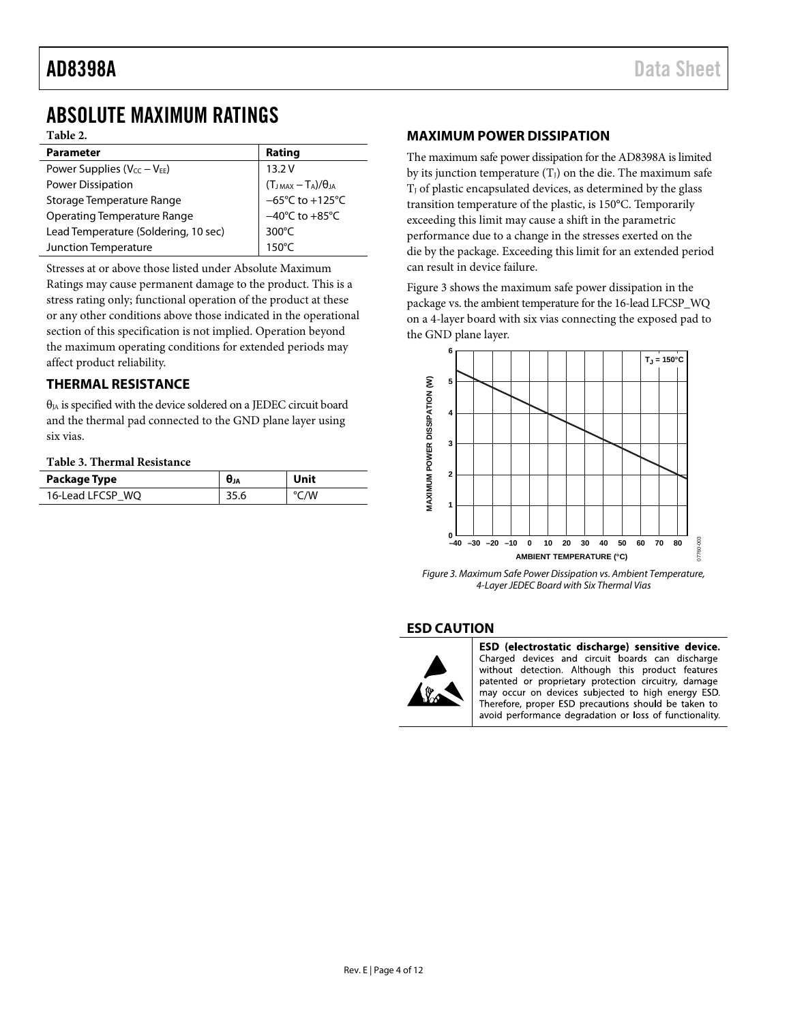### <span id="page-3-0"></span>ABSOLUTE MAXIMUM RATINGS

**Table 2.**

| <b>Parameter</b>                     | Rating                                            |
|--------------------------------------|---------------------------------------------------|
| Power Supplies ( $V_{CC} - V_{EE}$ ) | 13.2V                                             |
| Power Dissipation                    | $(T_{JMAX} - T_A)/\theta_{JA}$<br>-65°C to +125°C |
| Storage Temperature Range            |                                                   |
| <b>Operating Temperature Range</b>   | $-40^{\circ}$ C to $+85^{\circ}$ C                |
| Lead Temperature (Soldering, 10 sec) | $300^{\circ}$ C                                   |
| Junction Temperature                 | $150^{\circ}$ C                                   |

<span id="page-3-1"></span>Stresses at or above those listed under Absolute Maximum

Ratings may cause permanent damage to the product. This is a stress rating only; functional operation of the product at these or any other conditions above those indicated in the operational section of this specification is not implied. Operation beyond the maximum operating conditions for extended periods may affect product reliability.

### **THERMAL RESISTANCE**

 $\theta_{JA}$  is specified with the device soldered on a JEDEC circuit board and the thermal pad connected to the GND plane layer using six vias.

#### **Table 3. Thermal Resistance**

| Package Type     | $θ$ ιΑ | Unit |
|------------------|--------|------|
| 16-Lead LFCSP WQ | 35.6   | °C/W |

#### <span id="page-3-2"></span>**MAXIMUM POWER DISSIPATION**

The maximum safe power dissipation for the AD8398A is limited by its junction temperature  $(T_J)$  on the die. The maximum safe  $T_J$  of plastic encapsulated devices, as determined by the glass transition temperature of the plastic, is 150°C. Temporarily exceeding this limit may cause a shift in the parametric performance due to a change in the stresses exerted on the die by the package. Exceeding this limit for an extended period can result in device failure.

[Figure 3](#page-3-4) shows the maximum safe power dissipation in the package vs. the ambient temperature for the 16-lead LFCSP\_WQ on a 4-layer board with six vias connecting the exposed pad to the GND plane layer.



<span id="page-3-4"></span>*Figure 3. Maximum Safe Power Dissipation vs. Ambient Temperature, 4-LayerJEDEC Board with Six Thermal Vias*

#### <span id="page-3-3"></span>**ESD CAUTION**



ESD (electrostatic discharge) sensitive device. Charged devices and circuit boards can discharge without detection. Although this product features patented or proprietary protection circuitry, damage may occur on devices subjected to high energy ESD. Therefore, proper ESD precautions should be taken to avoid performance degradation or loss of functionality.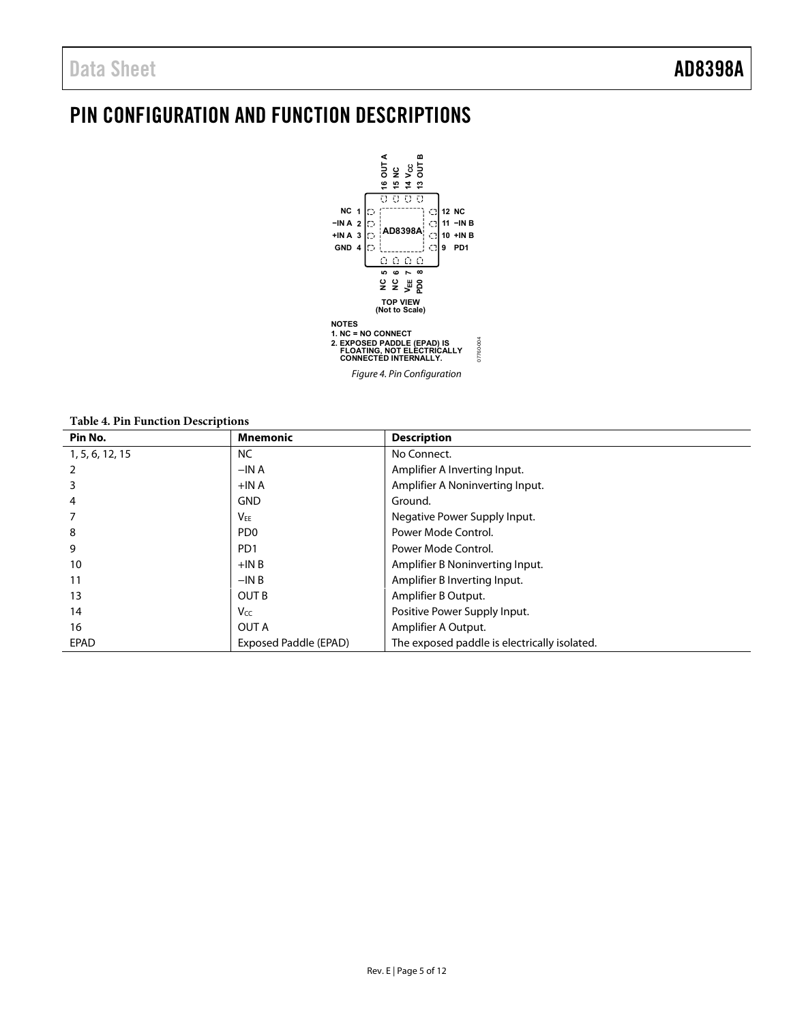## <span id="page-4-0"></span>PIN CONFIGURATION AND FUNCTION DESCRIPTIONS



Figure 4. Pin Configuration

**Table 4. Pin Function Descriptions** 

| Pin No.         | <b>Mnemonic</b>       | <b>Description</b>                           |
|-----------------|-----------------------|----------------------------------------------|
| 1, 5, 6, 12, 15 | NC.                   | No Connect.                                  |
|                 | $-INA$                | Amplifier A Inverting Input.                 |
|                 | $+INA$                | Amplifier A Noninverting Input.              |
| 4               | <b>GND</b>            | Ground.                                      |
|                 | $V_{EE}$              | Negative Power Supply Input.                 |
| 8               | PD <sub>0</sub>       | Power Mode Control.                          |
| 9               | P <sub>D</sub> 1      | Power Mode Control.                          |
| 10              | $+INB$                | Amplifier B Noninverting Input.              |
| 11              | $-INB$                | Amplifier B Inverting Input.                 |
| 13              | <b>OUT B</b>          | Amplifier B Output.                          |
| 14              | V <sub>CC</sub>       | Positive Power Supply Input.                 |
| 16              | <b>OUT A</b>          | Amplifier A Output.                          |
| <b>EPAD</b>     | Exposed Paddle (EPAD) | The exposed paddle is electrically isolated. |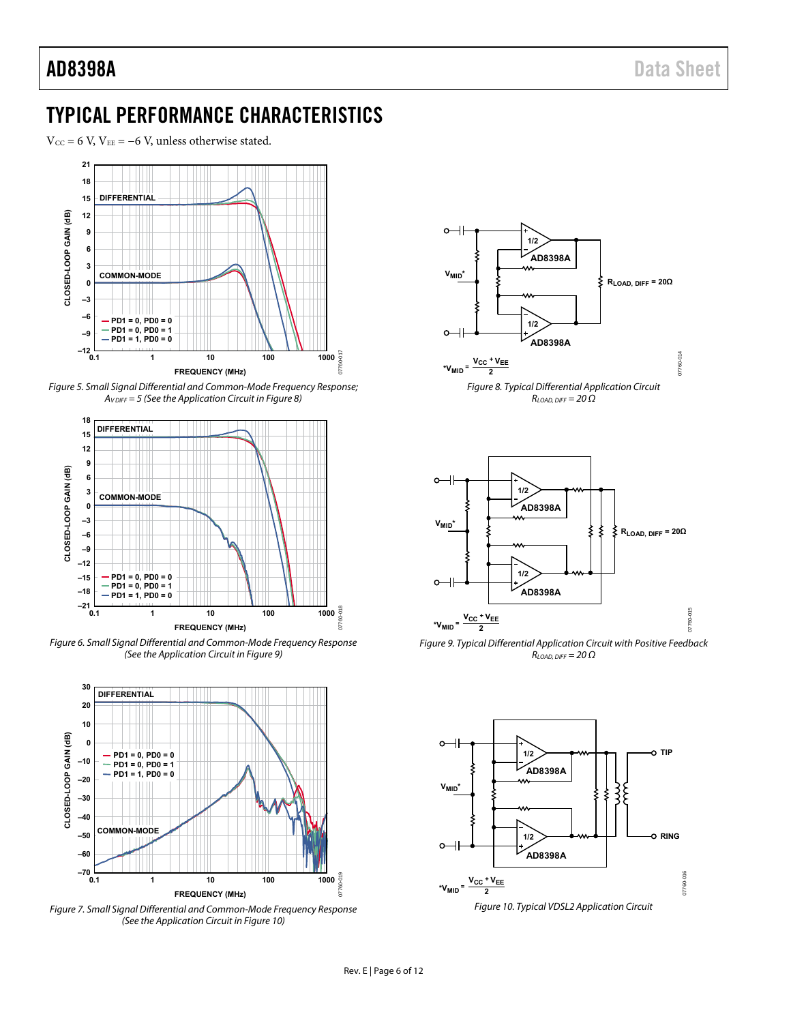### <span id="page-5-0"></span>TYPICAL PERFORMANCE CHARACTERISTICS

 $V_{\text{CC}} = 6$  V,  $V_{\text{EE}} = -6$  V, unless otherwise stated.



Figure 5. Small Signal Differential and Common-Mode Frequency Response;  $A_{V\,DIFF} = 5$  (See the Application Circuit in Figure 8)



Figure 6. Small Signal Differential and Common-Mode Frequency Response (See the Application Circuit i[n Figure 9\)](#page-5-2) 



Figure 7. Small Signal Differential and Common-Mode Frequency Response (See the Application Circuit i[n Figure 10\)](#page-5-3) 



<span id="page-5-1"></span>



<span id="page-5-2"></span>Figure 9. Typical Differential Application Circuit with Positive Feedback  $R_{LOAD, DIFF} = 20 \Omega$ 

<span id="page-5-3"></span>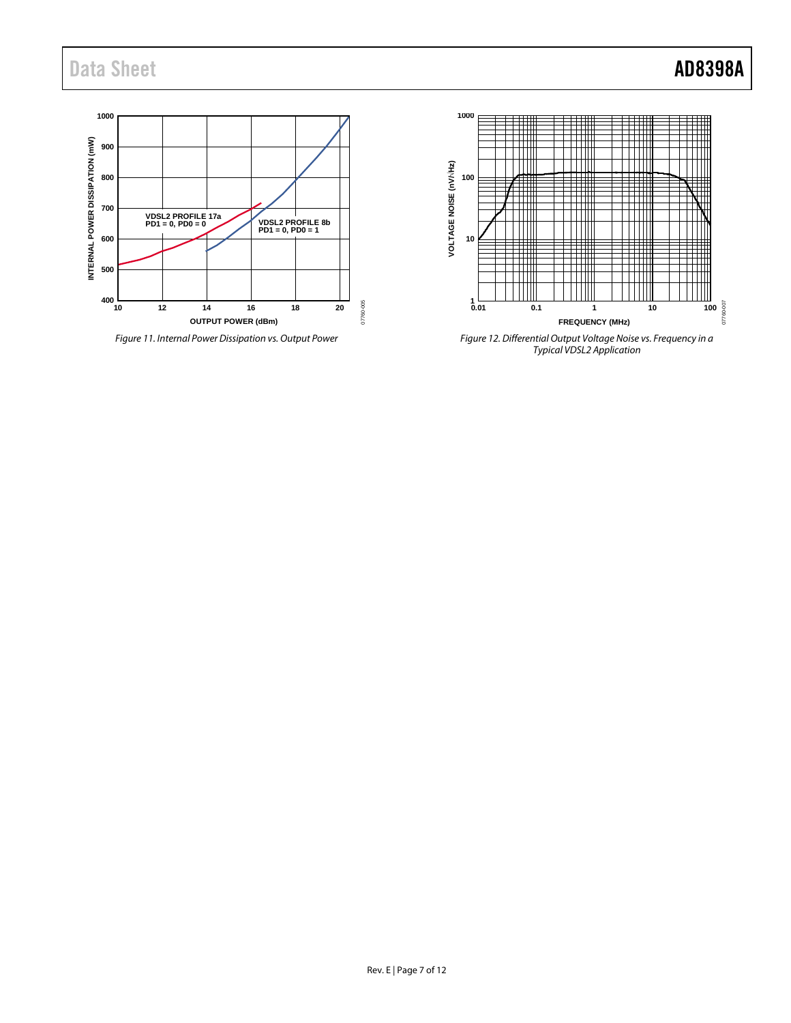

*Figure 11. Internal Power Dissipation vs. Output Power*



*Figure 12. Differential Output Voltage Noise vs. Frequency in a Typical VDSL2 Application*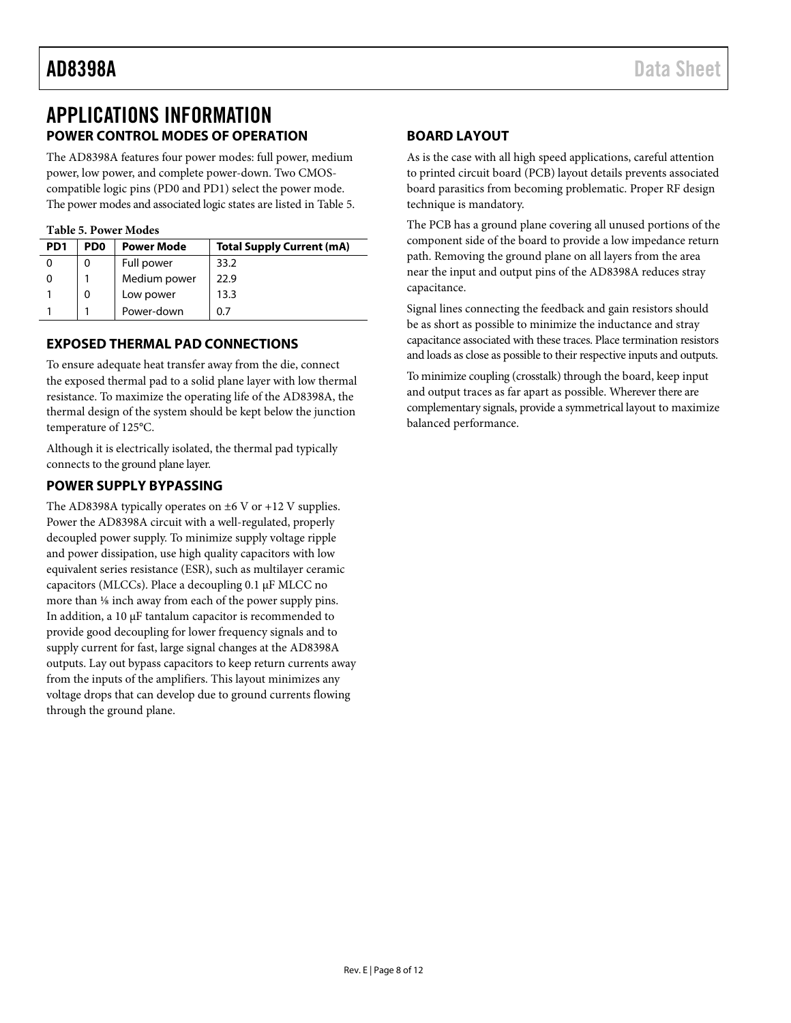### <span id="page-7-0"></span>APPLICATIONS INFORMATION **POWER CONTROL MODES OF OPERATION**

<span id="page-7-1"></span>The AD8398A features four power modes: full power, medium power, low power, and complete power-down. Two CMOScompatible logic pins (PD0 and PD1) select the power mode. The power modes and associated logic states are listed i[n Table 5.](#page-7-5) 

#### <span id="page-7-5"></span>**Table 5. Power Modes**

| PD <sub>1</sub> | PD <sub>0</sub> | <b>Power Mode</b> | <b>Total Supply Current (mA)</b> |
|-----------------|-----------------|-------------------|----------------------------------|
|                 | O)              | Full power        | 33.2                             |
|                 |                 | Medium power      | 22.9                             |
|                 | 0               | Low power         | 13.3                             |
|                 |                 | Power-down        | 0.7                              |

### <span id="page-7-2"></span>**EXPOSED THERMAL PAD CONNECTIONS**

To ensure adequate heat transfer away from the die, connect the exposed thermal pad to a solid plane layer with low thermal resistance. To maximize the operating life of the AD8398A, the thermal design of the system should be kept below the junction temperature of 125°C.

Although it is electrically isolated, the thermal pad typically connects to the ground plane layer.

### <span id="page-7-3"></span>**POWER SUPPLY BYPASSING**

The AD8398A typically operates on  $\pm 6$  V or  $+12$  V supplies. Power the AD8398A circuit with a well-regulated, properly decoupled power supply. To minimize supply voltage ripple and power dissipation, use high quality capacitors with low equivalent series resistance (ESR), such as multilayer ceramic capacitors (MLCCs). Place a decoupling 0.1 µF MLCC no more than <sup>1/8</sup> inch away from each of the power supply pins. In addition, a 10 µF tantalum capacitor is recommended to provide good decoupling for lower frequency signals and to supply current for fast, large signal changes at the AD8398A outputs. Lay out bypass capacitors to keep return currents away from the inputs of the amplifiers. This layout minimizes any voltage drops that can develop due to ground currents flowing through the ground plane.

#### <span id="page-7-4"></span>**BOARD LAYOUT**

As is the case with all high speed applications, careful attention to printed circuit board (PCB) layout details prevents associated board parasitics from becoming problematic. Proper RF design technique is mandatory.

The PCB has a ground plane covering all unused portions of the component side of the board to provide a low impedance return path. Removing the ground plane on all layers from the area near the input and output pins of the AD8398A reduces stray capacitance.

Signal lines connecting the feedback and gain resistors should be as short as possible to minimize the inductance and stray capacitance associated with these traces. Place termination resistors and loads as close as possible to their respective inputs and outputs.

To minimize coupling (crosstalk) through the board, keep input and output traces as far apart as possible. Wherever there are complementary signals, provide a symmetrical layout to maximize balanced performance.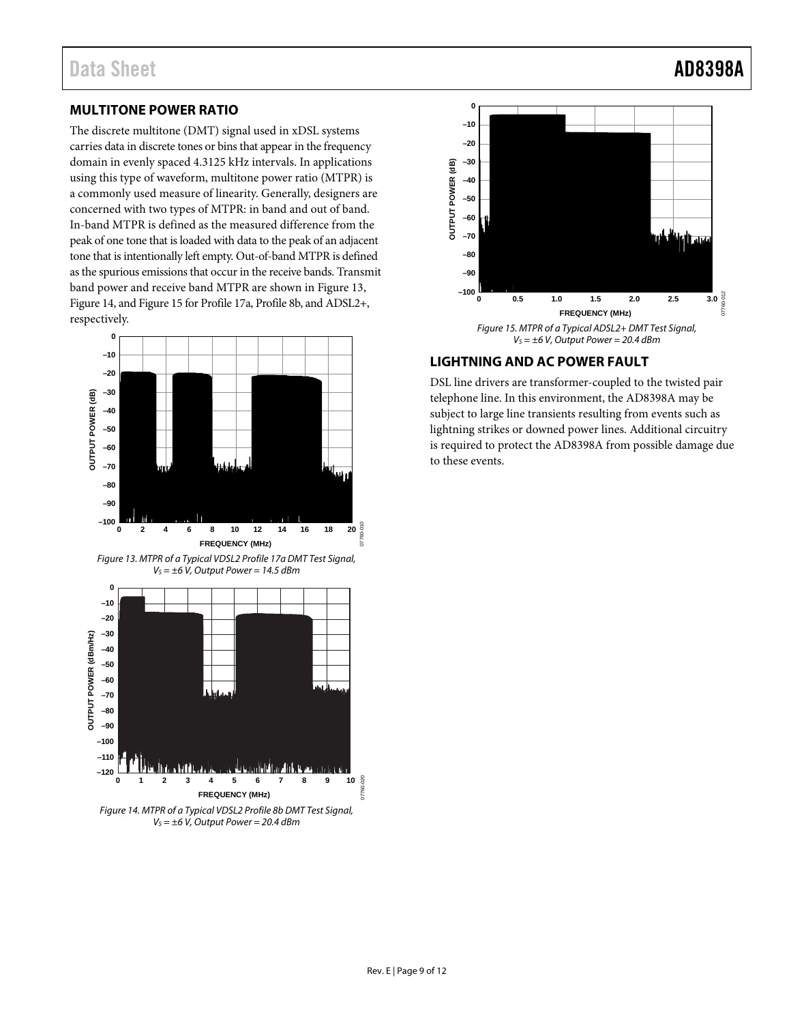### <span id="page-8-0"></span>**MULTITONE POWER RATIO**

The discrete multitone (DMT) signal used in xDSL systems carries data in discrete tones or bins that appear in the frequency domain in evenly spaced 4.3125 kHz intervals. In applications using this type of waveform, multitone power ratio (MTPR) is a commonly used measure of linearity. Generally, designers are concerned with two types of MTPR: in band and out of band. In-band MTPR is defined as the measured difference from the peak of one tone that is loaded with data to the peak of an adjacent tone that is intentionally left empty. Out-of-band MTPR is defined as the spurious emissions that occur in the receive bands. Transmit band power and receive band MTPR are shown in [Figure 13,](#page-8-2)  [Figure 14,](#page-8-3) an[d Figure 15](#page-8-4) for Profile 17a, Profile 8b, and ADSL2+, respectively.

<span id="page-8-2"></span>

<span id="page-8-3"></span>Figure 14. MTPR of a Typical VDSL2 Profile 8b DMT Test Signal,  $V_s = \pm 6$  V, Output Power = 20.4 dBm



#### <span id="page-8-4"></span><span id="page-8-1"></span>**LIGHTNING AND AC POWER FAULT**

**–20 –10 0**

DSL line drivers are transformer-coupled to the twisted pair telephone line. In this environment, the AD8398A may be subject to large line transients resulting from events such as lightning strikes or downed power lines. Additional circuitry is required to protect the AD8398A from possible damage due to these events.

07760-012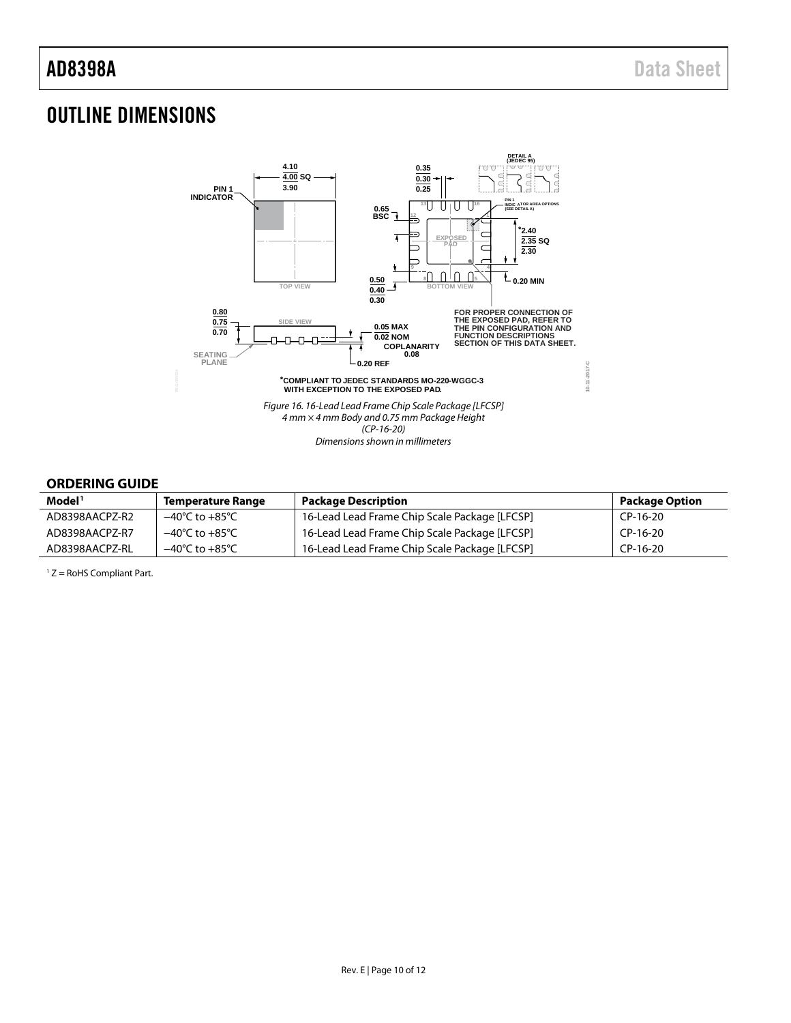## <span id="page-9-0"></span>OUTLINE DIMENSIONS



### <span id="page-9-1"></span>**ORDERING GUIDE**

| Model <sup>1</sup> | <b>Temperature Range</b>           | <b>Package Description</b>                    | <b>Package Option</b> |
|--------------------|------------------------------------|-----------------------------------------------|-----------------------|
| AD8398AACPZ-R2     | $-40^{\circ}$ C to $+85^{\circ}$ C | 16-Lead Lead Frame Chip Scale Package [LFCSP] | $CP-16-20$            |
| AD8398AACPZ-R7     | $-40^{\circ}$ C to $+85^{\circ}$ C | 16-Lead Lead Frame Chip Scale Package [LFCSP] | CP-16-20              |
| AD8398AACPZ-RL     | $-40^{\circ}$ C to $+85^{\circ}$ C | 16-Lead Lead Frame Chip Scale Package [LFCSP] | $CP-16-20$            |

 $1 Z =$  RoHS Compliant Part.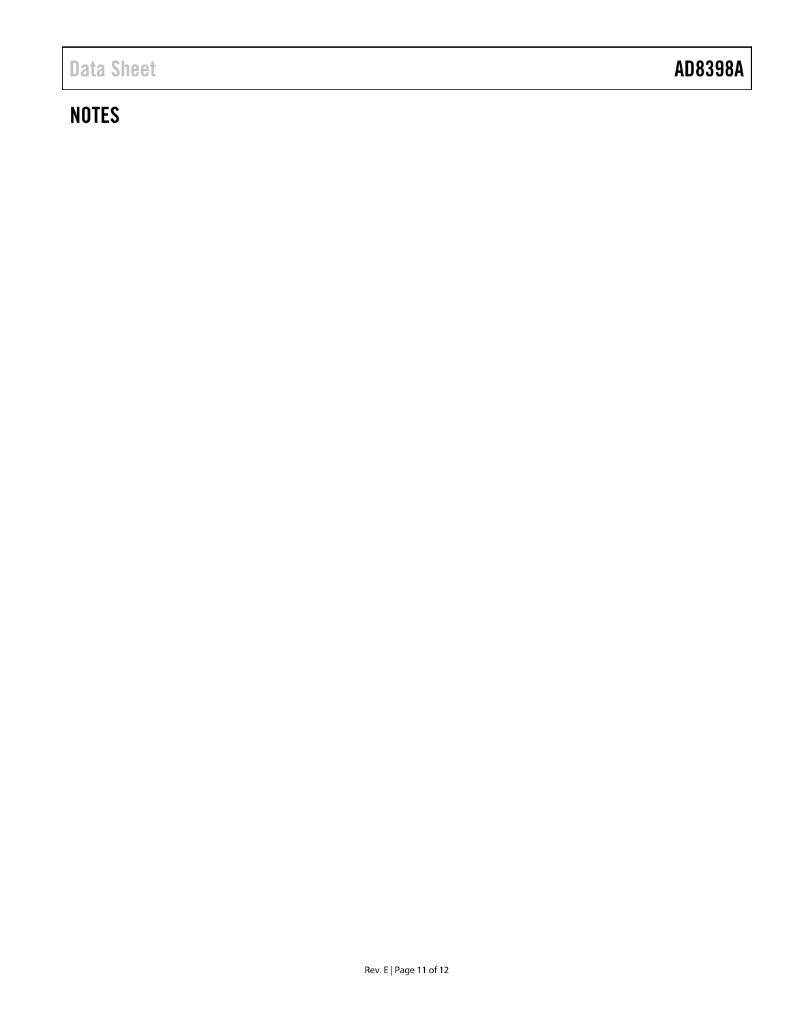## **NOTES**